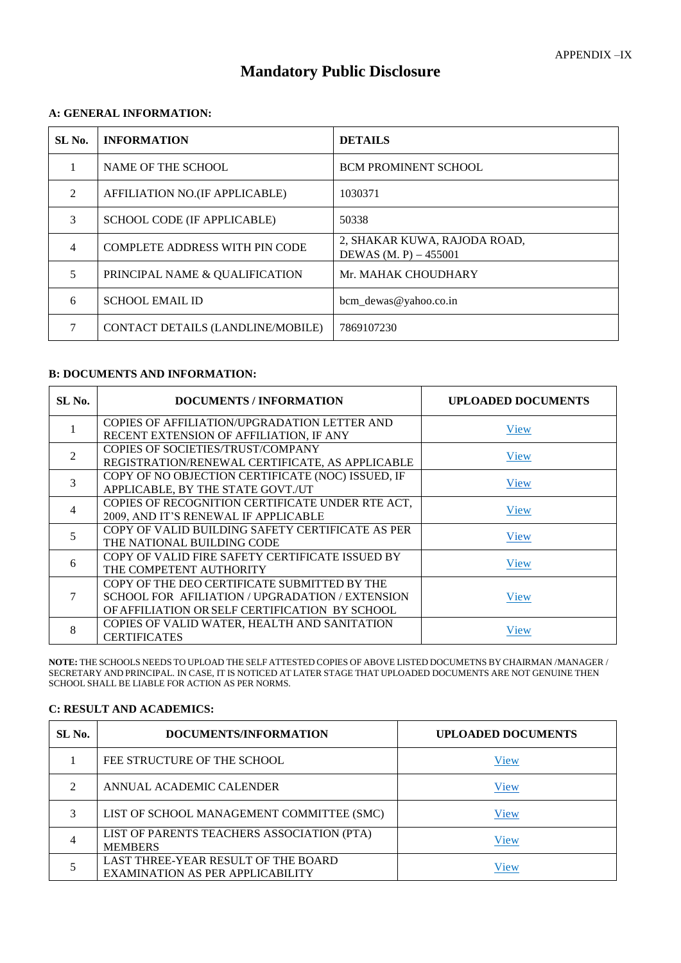# **Mandatory Public Disclosure**

## **A: GENERAL INFORMATION:**

| SL No.         | <b>INFORMATION</b>                    | <b>DETAILS</b>                                          |
|----------------|---------------------------------------|---------------------------------------------------------|
| 1              | NAME OF THE SCHOOL                    | <b>BCM PROMINENT SCHOOL</b>                             |
| $\mathfrak{D}$ | AFFILIATION NO.(IF APPLICABLE)        | 1030371                                                 |
| 3              | SCHOOL CODE (IF APPLICABLE)           | 50338                                                   |
| $\overline{4}$ | <b>COMPLETE ADDRESS WITH PIN CODE</b> | 2, SHAKAR KUWA, RAJODA ROAD,<br>DEWAS $(M, P) - 455001$ |
| 5              | PRINCIPAL NAME & QUALIFICATION        | Mr. MAHAK CHOUDHARY                                     |
| 6              | <b>SCHOOL EMAIL ID</b>                | bcm_dewas@yahoo.co.in                                   |
|                | CONTACT DETAILS (LANDLINE/MOBILE)     | 7869107230                                              |

## **B: DOCUMENTS AND INFORMATION:**

| SL No.         | <b>DOCUMENTS / INFORMATION</b>                    | <b>UPLOADED DOCUMENTS</b> |
|----------------|---------------------------------------------------|---------------------------|
|                | COPIES OF AFFILIATION/UPGRADATION LETTER AND      | View                      |
|                | RECENT EXTENSION OF AFFILIATION, IF ANY           |                           |
| $\mathfrak{D}$ | COPIES OF SOCIETIES/TRUST/COMPANY                 | View                      |
|                | REGISTRATION/RENEWAL CERTIFICATE, AS APPLICABLE   |                           |
| 3              | COPY OF NO OBJECTION CERTIFICATE (NOC) ISSUED, IF | View                      |
|                | APPLICABLE, BY THE STATE GOVT./UT                 |                           |
| 4              | COPIES OF RECOGNITION CERTIFICATE UNDER RTE ACT,  | View                      |
|                | 2009, AND IT'S RENEWAL IF APPLICABLE              |                           |
|                | COPY OF VALID BUILDING SAFETY CERTIFICATE AS PER  | View                      |
|                | THE NATIONAL BUILDING CODE                        |                           |
| 6              | COPY OF VALID FIRE SAFETY CERTIFICATE ISSUED BY   | View                      |
|                | THE COMPETENT AUTHORITY                           |                           |
|                | COPY OF THE DEO CERTIFICATE SUBMITTED BY THE      |                           |
|                | SCHOOL FOR AFILIATION / UPGRADATION / EXTENSION   | View                      |
|                | OF AFFILIATION OR SELF CERTIFICATION BY SCHOOL    |                           |
| 8              | COPIES OF VALID WATER, HEALTH AND SANITATION      |                           |
|                | <b>CERTIFICATES</b>                               | View                      |

**NOTE:** THE SCHOOLS NEEDS TO UPLOAD THE SELF ATTESTED COPIES OF ABOVE LISTED DOCUMETNS BY CHAIRMAN /MANAGER / SECRETARY AND PRINCIPAL. IN CASE, IT IS NOTICED AT LATER STAGE THAT UPLOADED DOCUMENTS ARE NOT GENUINE THEN SCHOOL SHALL BE LIABLE FOR ACTION AS PER NORMS.

#### **C: RESULT AND ACADEMICS:**

| SL No. | DOCUMENTS/INFORMATION                                                          | <b>UPLOADED DOCUMENTS</b> |
|--------|--------------------------------------------------------------------------------|---------------------------|
|        | FEE STRUCTURE OF THE SCHOOL                                                    | View                      |
| ∍      | ANNUAL ACADEMIC CALENDER                                                       | View                      |
| 3      | LIST OF SCHOOL MANAGEMENT COMMITTEE (SMC)                                      | View                      |
|        | LIST OF PARENTS TEACHERS ASSOCIATION (PTA)<br><b>MEMBERS</b>                   | View                      |
|        | LAST THREE-YEAR RESULT OF THE BOARD<br><b>EXAMINATION AS PER APPLICABILITY</b> | View                      |